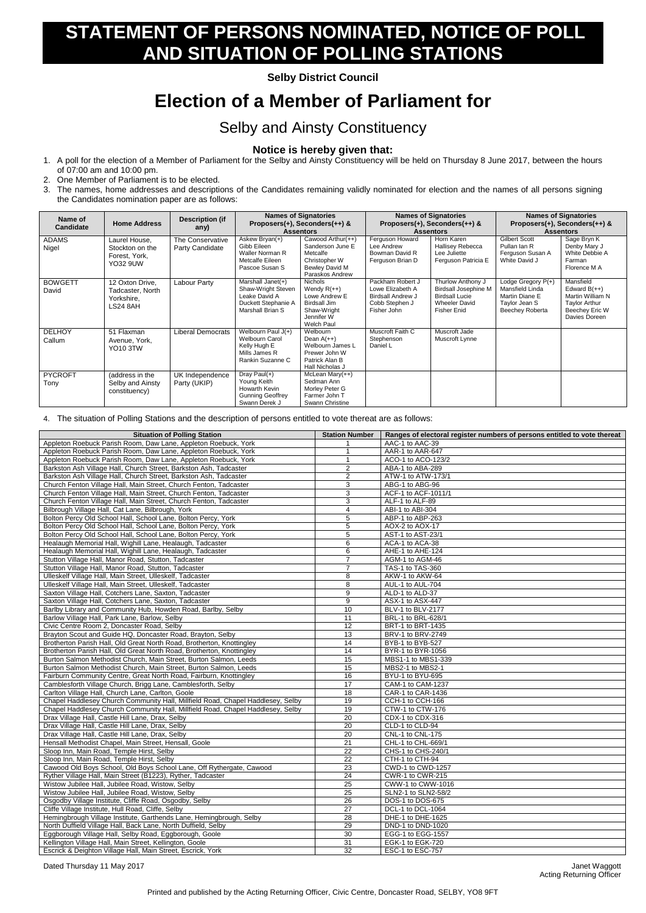## **STATEMENT OF PERSONS NOMINATED, NOTICE OF POLL AND SITUATION OF POLLING STATIONS**

**Selby District Council**

## **Election of a Member of Parliament for**

## Selby and Ainsty Constituency

## **Notice is hereby given that:**

- 1. A poll for the election of a Member of Parliament for the Selby and Ainsty Constituency will be held on Thursday 8 June 2017, between the hours of 07:00 am and 10:00 pm.
- 2. One Member of Parliament is to be elected.
- 3. The names, home addresses and descriptions of the Candidates remaining validly nominated for election and the names of all persons signing the Candidates nomination paper are as follows:

| Name of<br><b>Candidate</b> | <b>Home Address</b>                                                  | <b>Description (if</b><br>any)      | <b>Names of Signatories</b><br>Proposers(+), Seconders(++) &<br><b>Assentors</b>                    |                                                                                                                           | <b>Names of Signatories</b><br>Proposers(+), Seconders(++) &<br><b>Assentors</b>                  |                                                                                                                         | <b>Names of Signatories</b><br>Proposers(+), Seconders(++) &<br><b>Assentors</b>            |                                                                                                            |
|-----------------------------|----------------------------------------------------------------------|-------------------------------------|-----------------------------------------------------------------------------------------------------|---------------------------------------------------------------------------------------------------------------------------|---------------------------------------------------------------------------------------------------|-------------------------------------------------------------------------------------------------------------------------|---------------------------------------------------------------------------------------------|------------------------------------------------------------------------------------------------------------|
| <b>ADAMS</b><br>Nigel       | Laurel House,<br>Stockton on the<br>Forest, York,<br><b>YO32 9UW</b> | The Conservative<br>Party Candidate | Askew Bryan(+)<br>Gibb Eileen<br>Waller Norman R<br>Metcalfe Eileen<br>Pascoe Susan S               | Cawood Arthur $(++)$<br>Sanderson June E<br>Metcalfe<br>Christopher W<br>Bewley David M<br>Paraskos Andrew                | Ferguson Howard<br>Lee Andrew<br>Bowman David R<br>Ferguson Brian D                               | Horn Karen<br><b>Hallisey Rebecca</b><br>Lee Juliette<br>Ferguson Patricia E                                            | <b>Gilbert Scott</b><br>Pullan Ian R<br>Ferguson Susan A<br>White David J                   | Sage Bryn K<br>Denby Mary J<br>White Debbie A<br>Farman<br>Florence M A                                    |
| <b>BOWGETT</b><br>David     | 12 Oxton Drive,<br>Tadcaster, North<br>Yorkshire,<br>LS24 8AH        | Labour Party                        | Marshall Janet(+)<br>Shaw-Wright Steven<br>Leake David A<br>Duckett Stephanie A<br>Marshall Brian S | <b>Nichols</b><br>Wendy $R(++)$<br>Lowe Andrew E<br><b>Birdsall Jim</b><br>Shaw-Wright<br>Jennifer W<br><b>Welch Paul</b> | Packham Robert J<br>Lowe Elizabeth A<br><b>Birdsall Andrew J</b><br>Cobb Stephen J<br>Fisher John | Thurlow Anthony J<br><b>Birdsall Josephine M</b><br><b>Birdsall Lucie</b><br><b>Wheeler David</b><br><b>Fisher Enid</b> | Lodge Gregory P(+)<br>Mansfield Linda<br>Martin Diane E<br>Taylor Jean S<br>Beechey Roberta | Mansfield<br>Edward $B(++)$<br>Martin William N<br><b>Taylor Arthur</b><br>Beechey Eric W<br>Davies Doreen |
| <b>DELHOY</b><br>Callum     | 51 Flaxman<br>Avenue, York,<br><b>YO10 3TW</b>                       | Liberal Democrats                   | Welbourn Paul $J(+)$<br><b>Welbourn Carol</b><br>Kelly Hugh E<br>Mills James R<br>Rankin Suzanne C  | Welbourn<br>Dean $A(++)$<br>Welbourn James L<br>Prewer John W<br>Patrick Alan B<br>Hall Nicholas J                        | Muscroft Faith C<br>Stephenson<br>Daniel L                                                        | Muscroft Jade<br>Muscroft Lynne                                                                                         |                                                                                             |                                                                                                            |
| <b>PYCROFT</b><br>Tony      | (address in the<br>Selby and Ainsty<br>constituency)                 | UK Independence<br>Party (UKIP)     | Dray Paul $(+)$<br>Young Keith<br>Howarth Kevin<br><b>Gunning Geoffrey</b><br>Swann Derek J         | McLean Mary $(++)$<br>Sedman Ann<br>Morley Peter G<br>Farmer John T<br>Swann Christine                                    |                                                                                                   |                                                                                                                         |                                                                                             |                                                                                                            |

4. The situation of Polling Stations and the description of persons entitled to vote thereat are as follows:

| <b>Situation of Polling Station</b>                                             | <b>Station Number</b> | Ranges of electoral register numbers of persons entitled to vote thereat |
|---------------------------------------------------------------------------------|-----------------------|--------------------------------------------------------------------------|
| Appleton Roebuck Parish Room, Daw Lane, Appleton Roebuck, York                  |                       | AAC-1 to AAC-39                                                          |
| Appleton Roebuck Parish Room, Daw Lane, Appleton Roebuck, York                  | -1                    | AAR-1 to AAR-647                                                         |
| Appleton Roebuck Parish Room, Daw Lane, Appleton Roebuck, York                  |                       | ACO-1 to ACO-123/2                                                       |
| Barkston Ash Village Hall, Church Street, Barkston Ash, Tadcaster               | $\overline{c}$        | ABA-1 to ABA-289                                                         |
| Barkston Ash Village Hall, Church Street, Barkston Ash, Tadcaster               | $\overline{c}$        | ATW-1 to ATW-173/1                                                       |
| Church Fenton Village Hall, Main Street, Church Fenton, Tadcaster               | 3                     | ABG-1 to ABG-96                                                          |
| Church Fenton Village Hall, Main Street, Church Fenton, Tadcaster               | 3                     | ACF-1 to ACF-1011/1                                                      |
| Church Fenton Village Hall, Main Street, Church Fenton, Tadcaster               | 3                     | ALF-1 to ALF-89                                                          |
| Bilbrough Village Hall, Cat Lane, Bilbrough, York                               | $\overline{4}$        | ABI-1 to ABI-304                                                         |
| Bolton Percy Old School Hall, School Lane, Bolton Percy, York                   | 5                     | ABP-1 to ABP-263                                                         |
| Bolton Percy Old School Hall, School Lane, Bolton Percy, York                   | 5                     | AOX-2 to AOX-17                                                          |
| Bolton Percy Old School Hall, School Lane, Bolton Percy, York                   | 5                     | AST-1 to AST-23/1                                                        |
| Healaugh Memorial Hall, Wighill Lane, Healaugh, Tadcaster                       | 6                     | ACA-1 to ACA-38                                                          |
| Healaugh Memorial Hall, Wighill Lane, Healaugh, Tadcaster                       | 6                     | AHE-1 to AHE-124                                                         |
| Stutton Village Hall, Manor Road, Stutton, Tadcaster                            | $\overline{7}$        | AGM-1 to AGM-46                                                          |
| Stutton Village Hall, Manor Road, Stutton, Tadcaster                            | $\overline{7}$        | TAS-1 to TAS-360                                                         |
| Ulleskelf Village Hall, Main Street, Ulleskelf, Tadcaster                       | 8                     | AKW-1 to AKW-64                                                          |
| Ulleskelf Village Hall, Main Street, Ulleskelf, Tadcaster                       | 8                     | AUL-1 to AUL-704                                                         |
| Saxton Village Hall, Cotchers Lane, Saxton, Tadcaster                           | 9                     | ALD-1 to ALD-37                                                          |
| Saxton Village Hall, Cotchers Lane, Saxton, Tadcaster                           | $\boldsymbol{9}$      | ASX-1 to ASX-447                                                         |
| Barlby Library and Community Hub, Howden Road, Barlby, Selby                    | 10                    | BLV-1 to BLV-2177                                                        |
| Barlow Village Hall, Park Lane, Barlow, Selby                                   | 11                    | BRL-1 to BRL-628/1                                                       |
| Civic Centre Room 2, Doncaster Road, Selby                                      | 12                    | BRT-1 to BRT-1435                                                        |
| Brayton Scout and Guide HQ, Doncaster Road, Brayton, Selby                      | $\overline{13}$       | BRV-1 to BRV-2749                                                        |
| Brotherton Parish Hall, Old Great North Road, Brotherton, Knottingley           | 14                    | BYB-1 to BYB-527                                                         |
| Brotherton Parish Hall, Old Great North Road, Brotherton, Knottingley           | 14                    | BYR-1 to BYR-1056                                                        |
| Burton Salmon Methodist Church, Main Street, Burton Salmon, Leeds               | 15                    | MBS1-1 to MBS1-339                                                       |
| Burton Salmon Methodist Church, Main Street, Burton Salmon, Leeds               | 15                    | MBS2-1 to MBS2-1                                                         |
| Fairburn Community Centre, Great North Road, Fairburn, Knottingley              | 16                    | BYU-1 to BYU-695                                                         |
| Camblesforth Village Church, Brigg Lane, Camblesforth, Selby                    | 17                    | CAM-1 to CAM-1237                                                        |
| Carlton Village Hall, Church Lane, Carlton, Goole                               | 18                    | CAR-1 to CAR-1436                                                        |
| Chapel Haddlesey Church Community Hall, Millfield Road, Chapel Haddlesey, Selby | 19                    | CCH-1 to CCH-166                                                         |
| Chapel Haddlesey Church Community Hall, Millfield Road, Chapel Haddlesey, Selby | 19                    | CTW-1 to CTW-176                                                         |
| Drax Village Hall, Castle Hill Lane, Drax, Selby                                | $\overline{20}$       | CDX-1 to CDX-316                                                         |
| Drax Village Hall, Castle Hill Lane, Drax, Selby                                | 20                    | CLD-1 to CLD-94                                                          |
| Drax Village Hall, Castle Hill Lane, Drax, Selby                                | 20                    | CNL-1 to CNL-175                                                         |
| Hensall Methodist Chapel, Main Street, Hensall, Goole                           | 21                    | CHL-1 to CHL-669/1                                                       |
| Sloop Inn, Main Road, Temple Hirst, Selby                                       | 22                    | CHS-1 to CHS-240/1                                                       |
| Sloop Inn, Main Road, Temple Hirst, Selby                                       | $\overline{22}$       | CTH-1 to CTH-94                                                          |
| Cawood Old Boys School, Old Boys School Lane, Off Rythergate, Cawood            | 23                    | CWD-1 to CWD-1257                                                        |
| Ryther Village Hall, Main Street (B1223), Ryther, Tadcaster                     | 24                    | CWR-1 to CWR-215                                                         |
| Wistow Jubilee Hall, Jubilee Road, Wistow, Selby                                | 25                    | CWW-1 to CWW-1016                                                        |
| Wistow Jubilee Hall, Jubilee Road, Wistow, Selby                                | 25                    | SLN2-1 to SLN2-58/2                                                      |
| Osgodby Village Institute, Cliffe Road, Osgodby, Selby                          | 26                    | DOS-1 to DOS-675                                                         |
| Cliffe Village Institute, Hull Road, Cliffe, Selby                              | $\overline{27}$       | DCL-1 to DCL-1064                                                        |
| Hemingbrough Village Institute, Garthends Lane, Hemingbrough, Selby             | 28                    | DHE-1 to DHE-1625                                                        |
| North Duffield Village Hall, Back Lane, North Duffield, Selby                   | 29                    | DND-1 to DND-1020                                                        |
| Eggborough Village Hall, Selby Road, Eggborough, Goole                          | 30                    | EGG-1 to EGG-1557                                                        |
| Kellington Village Hall, Main Street, Kellington, Goole                         | 31                    | EGK-1 to EGK-720                                                         |
| Escrick & Deighton Village Hall, Main Street, Escrick, York                     | 32                    | ESC-1 to ESC-757                                                         |

Dated Thursday 11 May 2017 and the state of the state of the state of the state of the state of the state of the state of the state of the state of the state of the state of the state of the state of the state of the state

Acting Returning Officer

Printed and published by the Acting Returning Officer, Civic Centre, Doncaster Road, SELBY, YO8 9FT